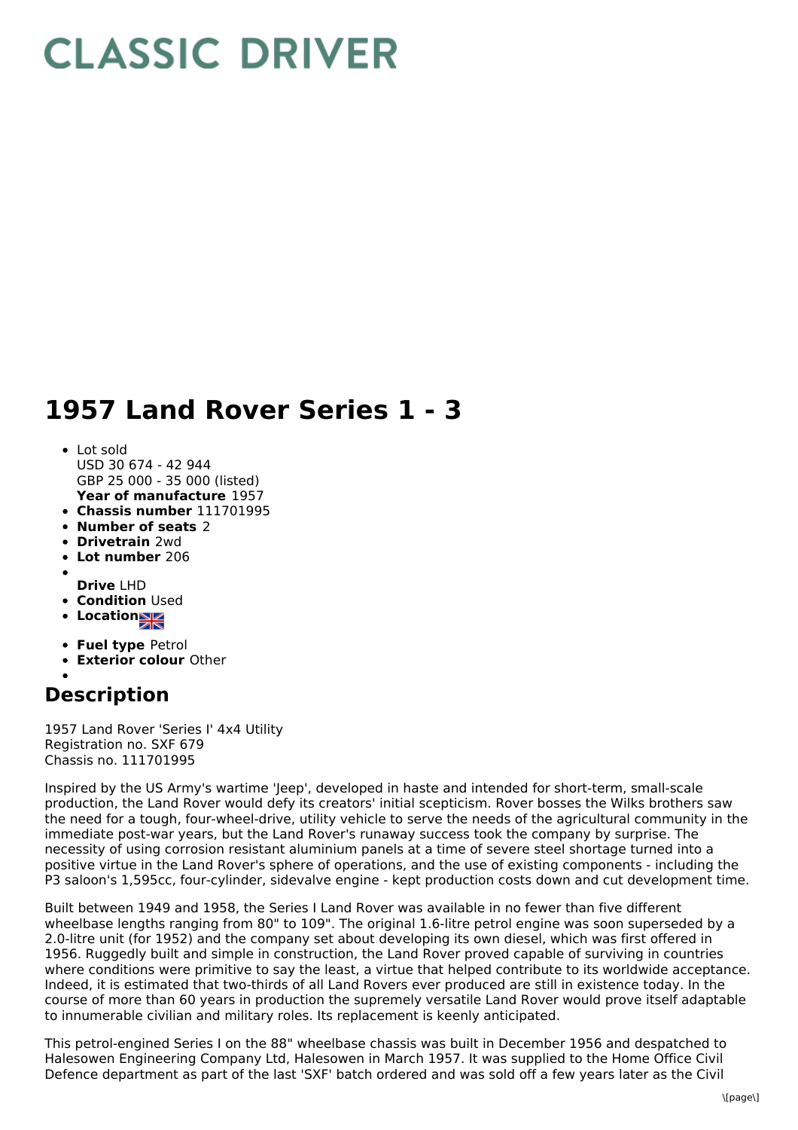## **CLASSIC DRIVER**

## **1957 Land Rover Series 1 - 3**

## **Year of manufacture** 1957 • Lot sold USD 30 674 - 42 944 GBP 25 000 - 35 000 (listed)

- **Chassis number** 111701995
- **Number of seats** 2
- **Drivetrain** 2wd
- **Lot number** 206
- **Drive** LHD
- **Condition Used**
- **Location**
- **Fuel type** Petrol
- **Exterior colour** Other
- 

## **Description**

1957 Land Rover 'Series I' 4x4 Utility Registration no. SXF 679 Chassis no. 111701995

Inspired by the US Army's wartime 'Jeep', developed in haste and intended for short-term, small-scale production, the Land Rover would defy its creators' initial scepticism. Rover bosses the Wilks brothers saw the need for a tough, four-wheel-drive, utility vehicle to serve the needs of the agricultural community in the immediate post-war years, but the Land Rover's runaway success took the company by surprise. The necessity of using corrosion resistant aluminium panels at a time of severe steel shortage turned into a positive virtue in the Land Rover's sphere of operations, and the use of existing components - including the P3 saloon's 1,595cc, four-cylinder, sidevalve engine - kept production costs down and cut development time.

Built between 1949 and 1958, the Series I Land Rover was available in no fewer than five different wheelbase lengths ranging from 80" to 109". The original 1.6-litre petrol engine was soon superseded by a 2.0-litre unit (for 1952) and the company set about developing its own diesel, which was first offered in 1956. Ruggedly built and simple in construction, the Land Rover proved capable of surviving in countries where conditions were primitive to say the least, a virtue that helped contribute to its worldwide acceptance. Indeed, it is estimated that two-thirds of all Land Rovers ever produced are still in existence today. In the course of more than 60 years in production the supremely versatile Land Rover would prove itself adaptable to innumerable civilian and military roles. Its replacement is keenly anticipated.

This petrol-engined Series I on the 88" wheelbase chassis was built in December 1956 and despatched to Halesowen Engineering Company Ltd, Halesowen in March 1957. It was supplied to the Home Office Civil Defence department as part of the last 'SXF' batch ordered and was sold off a few years later as the Civil